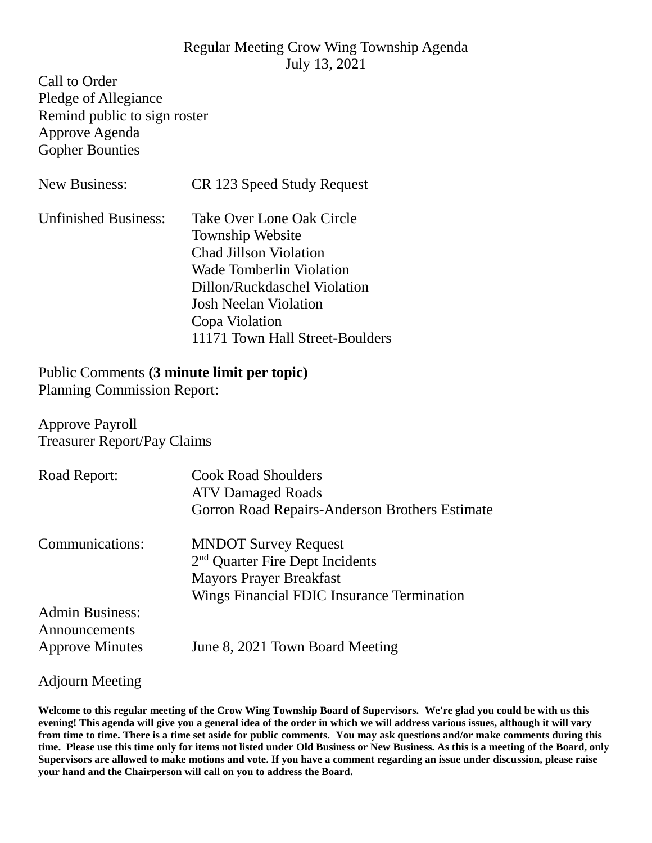## Regular Meeting Crow Wing Township Agenda July 13, 2021

Call to Order Pledge of Allegiance Remind public to sign roster Approve Agenda Gopher Bounties

| <b>New Business:</b>        | CR 123 Speed Study Request                                                                                                                                                                                                             |
|-----------------------------|----------------------------------------------------------------------------------------------------------------------------------------------------------------------------------------------------------------------------------------|
| <b>Unfinished Business:</b> | Take Over Lone Oak Circle<br><b>Township Website</b><br><b>Chad Jillson Violation</b><br>Wade Tomberlin Violation<br>Dillon/Ruckdaschel Violation<br><b>Josh Neelan Violation</b><br>Copa Violation<br>11171 Town Hall Street-Boulders |

## Public Comments **(3 minute limit per topic)**

Planning Commission Report:

Approve Payroll Treasurer Report/Pay Claims

| Road Report:                                                      | <b>Cook Road Shoulders</b><br><b>ATV Damaged Roads</b><br>Gorron Road Repairs-Anderson Brothers Estimate                                                   |
|-------------------------------------------------------------------|------------------------------------------------------------------------------------------------------------------------------------------------------------|
| Communications:                                                   | <b>MNDOT Survey Request</b><br>2 <sup>nd</sup> Quarter Fire Dept Incidents<br><b>Mayors Prayer Breakfast</b><br>Wings Financial FDIC Insurance Termination |
| <b>Admin Business:</b><br>Announcements<br><b>Approve Minutes</b> | June 8, 2021 Town Board Meeting                                                                                                                            |

## Adjourn Meeting

**Welcome to this regular meeting of the Crow Wing Township Board of Supervisors. We're glad you could be with us this evening! This agenda will give you a general idea of the order in which we will address various issues, although it will vary from time to time. There is a time set aside for public comments. You may ask questions and/or make comments during this time. Please use this time only for items not listed under Old Business or New Business. As this is a meeting of the Board, only Supervisors are allowed to make motions and vote. If you have a comment regarding an issue under discussion, please raise your hand and the Chairperson will call on you to address the Board.**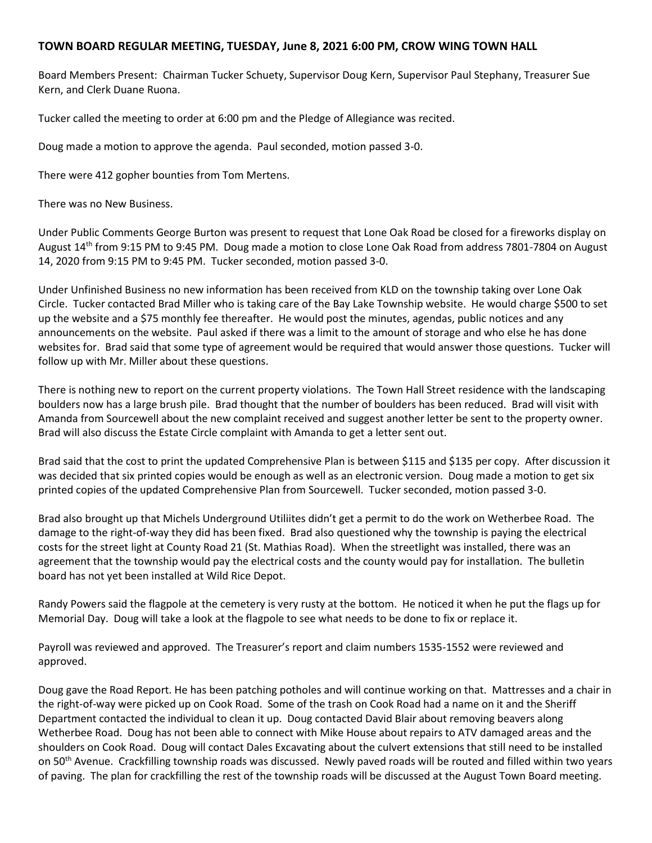## **TOWN BOARD REGULAR MEETING, TUESDAY, June 8, 2021 6:00 PM, CROW WING TOWN HALL**

Board Members Present: Chairman Tucker Schuety, Supervisor Doug Kern, Supervisor Paul Stephany, Treasurer Sue Kern, and Clerk Duane Ruona.

Tucker called the meeting to order at 6:00 pm and the Pledge of Allegiance was recited.

Doug made a motion to approve the agenda. Paul seconded, motion passed 3-0.

There were 412 gopher bounties from Tom Mertens.

There was no New Business.

Under Public Comments George Burton was present to request that Lone Oak Road be closed for a fireworks display on August 14th from 9:15 PM to 9:45 PM. Doug made a motion to close Lone Oak Road from address 7801-7804 on August 14, 2020 from 9:15 PM to 9:45 PM. Tucker seconded, motion passed 3-0.

Under Unfinished Business no new information has been received from KLD on the township taking over Lone Oak Circle. Tucker contacted Brad Miller who is taking care of the Bay Lake Township website. He would charge \$500 to set up the website and a \$75 monthly fee thereafter. He would post the minutes, agendas, public notices and any announcements on the website. Paul asked if there was a limit to the amount of storage and who else he has done websites for. Brad said that some type of agreement would be required that would answer those questions. Tucker will follow up with Mr. Miller about these questions.

There is nothing new to report on the current property violations. The Town Hall Street residence with the landscaping boulders now has a large brush pile. Brad thought that the number of boulders has been reduced. Brad will visit with Amanda from Sourcewell about the new complaint received and suggest another letter be sent to the property owner. Brad will also discuss the Estate Circle complaint with Amanda to get a letter sent out.

Brad said that the cost to print the updated Comprehensive Plan is between \$115 and \$135 per copy. After discussion it was decided that six printed copies would be enough as well as an electronic version. Doug made a motion to get six printed copies of the updated Comprehensive Plan from Sourcewell. Tucker seconded, motion passed 3-0.

Brad also brought up that Michels Underground Utiliites didn't get a permit to do the work on Wetherbee Road. The damage to the right-of-way they did has been fixed. Brad also questioned why the township is paying the electrical costs for the street light at County Road 21 (St. Mathias Road). When the streetlight was installed, there was an agreement that the township would pay the electrical costs and the county would pay for installation. The bulletin board has not yet been installed at Wild Rice Depot.

Randy Powers said the flagpole at the cemetery is very rusty at the bottom. He noticed it when he put the flags up for Memorial Day. Doug will take a look at the flagpole to see what needs to be done to fix or replace it.

Payroll was reviewed and approved. The Treasurer's report and claim numbers 1535-1552 were reviewed and approved.

Doug gave the Road Report. He has been patching potholes and will continue working on that. Mattresses and a chair in the right-of-way were picked up on Cook Road. Some of the trash on Cook Road had a name on it and the Sheriff Department contacted the individual to clean it up. Doug contacted David Blair about removing beavers along Wetherbee Road. Doug has not been able to connect with Mike House about repairs to ATV damaged areas and the shoulders on Cook Road. Doug will contact Dales Excavating about the culvert extensions that still need to be installed on 50<sup>th</sup> Avenue. Crackfilling township roads was discussed. Newly paved roads will be routed and filled within two years of paving. The plan for crackfilling the rest of the township roads will be discussed at the August Town Board meeting.